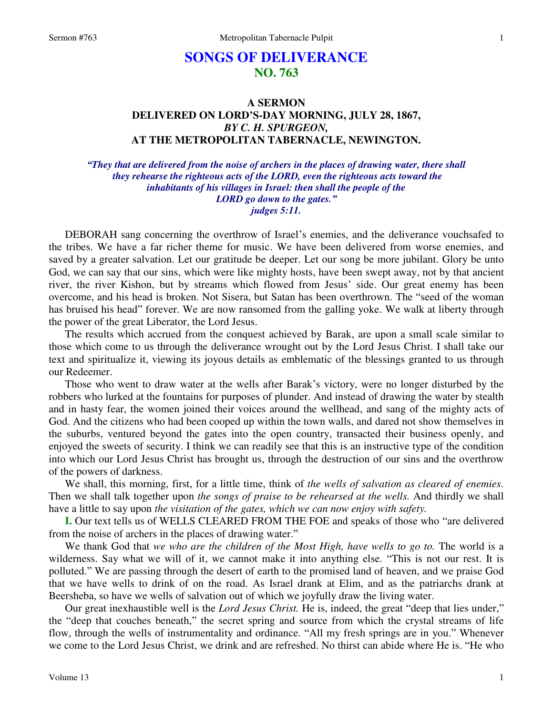# **SONGS OF DELIVERANCE NO. 763**

### **A SERMON DELIVERED ON LORD'S-DAY MORNING, JULY 28, 1867,**  *BY C. H. SPURGEON,*  **AT THE METROPOLITAN TABERNACLE, NEWINGTON.**

*"They that are delivered from the noise of archers in the places of drawing water, there shall they rehearse the righteous acts of the LORD, even the righteous acts toward the inhabitants of his villages in Israel: then shall the people of the LORD go down to the gates." judges 5:11.* 

DEBORAH sang concerning the overthrow of Israel's enemies, and the deliverance vouchsafed to the tribes. We have a far richer theme for music. We have been delivered from worse enemies, and saved by a greater salvation. Let our gratitude be deeper. Let our song be more jubilant. Glory be unto God, we can say that our sins, which were like mighty hosts, have been swept away, not by that ancient river, the river Kishon, but by streams which flowed from Jesus' side. Our great enemy has been overcome, and his head is broken. Not Sisera, but Satan has been overthrown. The "seed of the woman has bruised his head" forever. We are now ransomed from the galling yoke. We walk at liberty through the power of the great Liberator, the Lord Jesus.

 The results which accrued from the conquest achieved by Barak, are upon a small scale similar to those which come to us through the deliverance wrought out by the Lord Jesus Christ. I shall take our text and spiritualize it, viewing its joyous details as emblematic of the blessings granted to us through our Redeemer.

 Those who went to draw water at the wells after Barak's victory, were no longer disturbed by the robbers who lurked at the fountains for purposes of plunder. And instead of drawing the water by stealth and in hasty fear, the women joined their voices around the wellhead, and sang of the mighty acts of God. And the citizens who had been cooped up within the town walls, and dared not show themselves in the suburbs, ventured beyond the gates into the open country, transacted their business openly, and enjoyed the sweets of security. I think we can readily see that this is an instructive type of the condition into which our Lord Jesus Christ has brought us, through the destruction of our sins and the overthrow of the powers of darkness.

 We shall, this morning, first, for a little time, think of *the wells of salvation as cleared of enemies.*  Then we shall talk together upon *the songs of praise to be rehearsed at the wells.* And thirdly we shall have a little to say upon *the visitation of the gates, which we can now enjoy with safety.* 

**I.** Our text tells us of WELLS CLEARED FROM THE FOE and speaks of those who "are delivered from the noise of archers in the places of drawing water."

 We thank God that *we who are the children of the Most High, have wells to go to.* The world is a wilderness. Say what we will of it, we cannot make it into anything else. "This is not our rest. It is polluted." We are passing through the desert of earth to the promised land of heaven, and we praise God that we have wells to drink of on the road. As Israel drank at Elim, and as the patriarchs drank at Beersheba, so have we wells of salvation out of which we joyfully draw the living water.

 Our great inexhaustible well is the *Lord Jesus Christ.* He is, indeed, the great "deep that lies under," the "deep that couches beneath," the secret spring and source from which the crystal streams of life flow, through the wells of instrumentality and ordinance. "All my fresh springs are in you." Whenever we come to the Lord Jesus Christ, we drink and are refreshed. No thirst can abide where He is. "He who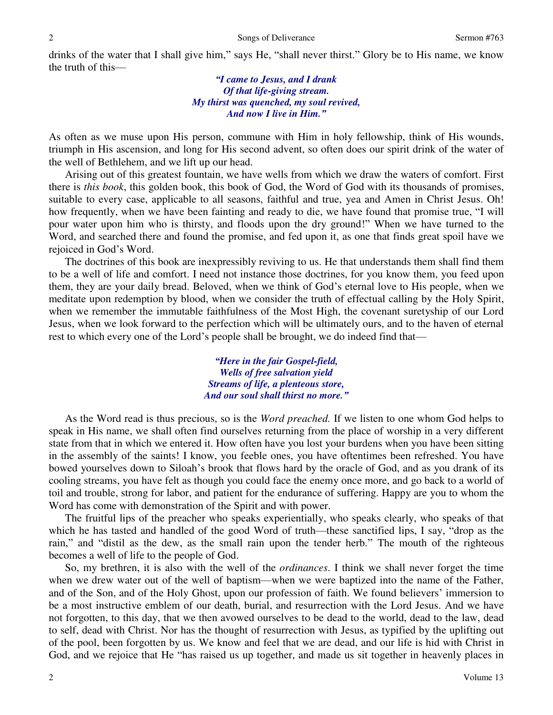drinks of the water that I shall give him," says He, "shall never thirst." Glory be to His name, we know the truth of this—

### *"I came to Jesus, and I drank Of that life-giving stream. My thirst was quenched, my soul revived, And now I live in Him."*

As often as we muse upon His person, commune with Him in holy fellowship, think of His wounds, triumph in His ascension, and long for His second advent, so often does our spirit drink of the water of the well of Bethlehem, and we lift up our head.

 Arising out of this greatest fountain, we have wells from which we draw the waters of comfort. First there is *this book*, this golden book, this book of God, the Word of God with its thousands of promises, suitable to every case, applicable to all seasons, faithful and true, yea and Amen in Christ Jesus. Oh! how frequently, when we have been fainting and ready to die, we have found that promise true, "I will pour water upon him who is thirsty, and floods upon the dry ground!" When we have turned to the Word, and searched there and found the promise, and fed upon it, as one that finds great spoil have we rejoiced in God's Word.

 The doctrines of this book are inexpressibly reviving to us. He that understands them shall find them to be a well of life and comfort. I need not instance those doctrines, for you know them, you feed upon them, they are your daily bread. Beloved, when we think of God's eternal love to His people, when we meditate upon redemption by blood, when we consider the truth of effectual calling by the Holy Spirit, when we remember the immutable faithfulness of the Most High, the covenant suretyship of our Lord Jesus, when we look forward to the perfection which will be ultimately ours, and to the haven of eternal rest to which every one of the Lord's people shall be brought, we do indeed find that—

> *"Here in the fair Gospel-field, Wells of free salvation yield Streams of life, a plenteous store, And our soul shall thirst no more."*

 As the Word read is thus precious, so is the *Word preached.* If we listen to one whom God helps to speak in His name, we shall often find ourselves returning from the place of worship in a very different state from that in which we entered it. How often have you lost your burdens when you have been sitting in the assembly of the saints! I know, you feeble ones, you have oftentimes been refreshed. You have bowed yourselves down to Siloah's brook that flows hard by the oracle of God, and as you drank of its cooling streams, you have felt as though you could face the enemy once more, and go back to a world of toil and trouble, strong for labor, and patient for the endurance of suffering. Happy are you to whom the Word has come with demonstration of the Spirit and with power.

 The fruitful lips of the preacher who speaks experientially, who speaks clearly, who speaks of that which he has tasted and handled of the good Word of truth—these sanctified lips, I say, "drop as the rain," and "distil as the dew, as the small rain upon the tender herb." The mouth of the righteous becomes a well of life to the people of God.

 So, my brethren, it is also with the well of the *ordinances*. I think we shall never forget the time when we drew water out of the well of baptism—when we were baptized into the name of the Father, and of the Son, and of the Holy Ghost, upon our profession of faith. We found believers' immersion to be a most instructive emblem of our death, burial, and resurrection with the Lord Jesus. And we have not forgotten, to this day, that we then avowed ourselves to be dead to the world, dead to the law, dead to self, dead with Christ. Nor has the thought of resurrection with Jesus, as typified by the uplifting out of the pool, been forgotten by us. We know and feel that we are dead, and our life is hid with Christ in God, and we rejoice that He "has raised us up together, and made us sit together in heavenly places in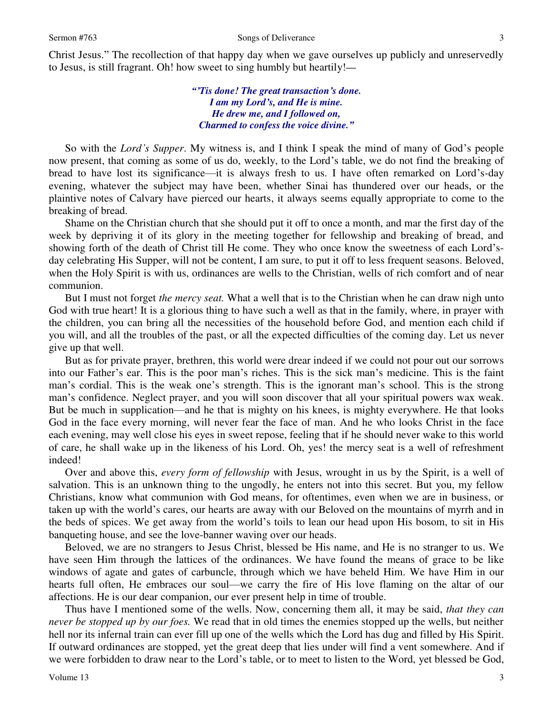Christ Jesus." The recollection of that happy day when we gave ourselves up publicly and unreservedly to Jesus, is still fragrant. Oh! how sweet to sing humbly but heartily!*—*

> *"'Tis done! The great transaction's done. I am my Lord's, and He is mine. He drew me, and I followed on, Charmed to confess the voice divine."*

So with the *Lord's Supper*. My witness is, and I think I speak the mind of many of God's people now present, that coming as some of us do, weekly, to the Lord's table, we do not find the breaking of bread to have lost its significance—it is always fresh to us. I have often remarked on Lord's-day evening, whatever the subject may have been, whether Sinai has thundered over our heads, or the plaintive notes of Calvary have pierced our hearts, it always seems equally appropriate to come to the breaking of bread.

 Shame on the Christian church that she should put it off to once a month, and mar the first day of the week by depriving it of its glory in the meeting together for fellowship and breaking of bread, and showing forth of the death of Christ till He come. They who once know the sweetness of each Lord'sday celebrating His Supper, will not be content, I am sure, to put it off to less frequent seasons. Beloved, when the Holy Spirit is with us, ordinances are wells to the Christian, wells of rich comfort and of near communion.

 But I must not forget *the mercy seat.* What a well that is to the Christian when he can draw nigh unto God with true heart! It is a glorious thing to have such a well as that in the family, where, in prayer with the children, you can bring all the necessities of the household before God, and mention each child if you will, and all the troubles of the past, or all the expected difficulties of the coming day. Let us never give up that well.

 But as for private prayer, brethren, this world were drear indeed if we could not pour out our sorrows into our Father's ear. This is the poor man's riches. This is the sick man's medicine. This is the faint man's cordial. This is the weak one's strength. This is the ignorant man's school. This is the strong man's confidence. Neglect prayer, and you will soon discover that all your spiritual powers wax weak. But be much in supplication—and he that is mighty on his knees, is mighty everywhere. He that looks God in the face every morning, will never fear the face of man. And he who looks Christ in the face each evening, may well close his eyes in sweet repose, feeling that if he should never wake to this world of care, he shall wake up in the likeness of his Lord. Oh, yes! the mercy seat is a well of refreshment indeed!

 Over and above this, *every form of fellowship* with Jesus, wrought in us by the Spirit, is a well of salvation. This is an unknown thing to the ungodly, he enters not into this secret. But you, my fellow Christians, know what communion with God means, for oftentimes, even when we are in business, or taken up with the world's cares, our hearts are away with our Beloved on the mountains of myrrh and in the beds of spices. We get away from the world's toils to lean our head upon His bosom, to sit in His banqueting house, and see the love-banner waving over our heads.

 Beloved, we are no strangers to Jesus Christ, blessed be His name, and He is no stranger to us. We have seen Him through the lattices of the ordinances. We have found the means of grace to be like windows of agate and gates of carbuncle, through which we have beheld Him. We have Him in our hearts full often, He embraces our soul—we carry the fire of His love flaming on the altar of our affections. He is our dear companion, our ever present help in time of trouble.

 Thus have I mentioned some of the wells. Now, concerning them all, it may be said, *that they can never be stopped up by our foes.* We read that in old times the enemies stopped up the wells, but neither hell nor its infernal train can ever fill up one of the wells which the Lord has dug and filled by His Spirit. If outward ordinances are stopped, yet the great deep that lies under will find a vent somewhere. And if we were forbidden to draw near to the Lord's table, or to meet to listen to the Word, yet blessed be God,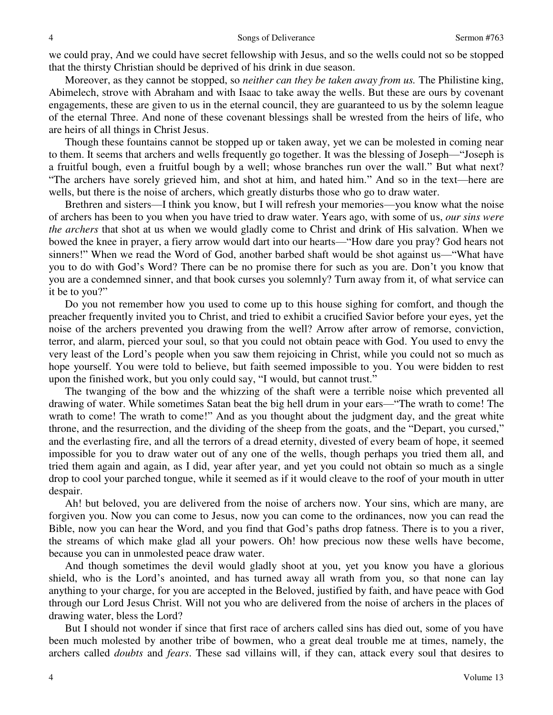we could pray, And we could have secret fellowship with Jesus, and so the wells could not so be stopped that the thirsty Christian should be deprived of his drink in due season.

 Moreover, as they cannot be stopped, so *neither can they be taken away from us.* The Philistine king, Abimelech, strove with Abraham and with Isaac to take away the wells. But these are ours by covenant engagements, these are given to us in the eternal council, they are guaranteed to us by the solemn league of the eternal Three. And none of these covenant blessings shall be wrested from the heirs of life, who are heirs of all things in Christ Jesus.

 Though these fountains cannot be stopped up or taken away, yet we can be molested in coming near to them. It seems that archers and wells frequently go together. It was the blessing of Joseph—"Joseph is a fruitful bough, even a fruitful bough by a well; whose branches run over the wall." But what next? "The archers have sorely grieved him, and shot at him, and hated him." And so in the text—here are wells, but there is the noise of archers, which greatly disturbs those who go to draw water.

 Brethren and sisters—I think you know, but I will refresh your memories—you know what the noise of archers has been to you when you have tried to draw water. Years ago, with some of us, *our sins were the archers* that shot at us when we would gladly come to Christ and drink of His salvation. When we bowed the knee in prayer, a fiery arrow would dart into our hearts—"How dare you pray? God hears not sinners!" When we read the Word of God, another barbed shaft would be shot against us—"What have you to do with God's Word? There can be no promise there for such as you are. Don't you know that you are a condemned sinner, and that book curses you solemnly? Turn away from it, of what service can it be to you?"

 Do you not remember how you used to come up to this house sighing for comfort, and though the preacher frequently invited you to Christ, and tried to exhibit a crucified Savior before your eyes, yet the noise of the archers prevented you drawing from the well? Arrow after arrow of remorse, conviction, terror, and alarm, pierced your soul, so that you could not obtain peace with God. You used to envy the very least of the Lord's people when you saw them rejoicing in Christ, while you could not so much as hope yourself. You were told to believe, but faith seemed impossible to you. You were bidden to rest upon the finished work, but you only could say, "I would, but cannot trust."

 The twanging of the bow and the whizzing of the shaft were a terrible noise which prevented all drawing of water. While sometimes Satan beat the big hell drum in your ears—"The wrath to come! The wrath to come! The wrath to come!" And as you thought about the judgment day, and the great white throne, and the resurrection, and the dividing of the sheep from the goats, and the "Depart, you cursed," and the everlasting fire, and all the terrors of a dread eternity, divested of every beam of hope, it seemed impossible for you to draw water out of any one of the wells, though perhaps you tried them all, and tried them again and again, as I did, year after year, and yet you could not obtain so much as a single drop to cool your parched tongue, while it seemed as if it would cleave to the roof of your mouth in utter despair.

 Ah! but beloved, you are delivered from the noise of archers now. Your sins, which are many, are forgiven you. Now you can come to Jesus, now you can come to the ordinances, now you can read the Bible, now you can hear the Word, and you find that God's paths drop fatness. There is to you a river, the streams of which make glad all your powers. Oh! how precious now these wells have become, because you can in unmolested peace draw water.

 And though sometimes the devil would gladly shoot at you, yet you know you have a glorious shield, who is the Lord's anointed, and has turned away all wrath from you, so that none can lay anything to your charge, for you are accepted in the Beloved, justified by faith, and have peace with God through our Lord Jesus Christ. Will not you who are delivered from the noise of archers in the places of drawing water, bless the Lord?

 But I should not wonder if since that first race of archers called sins has died out, some of you have been much molested by another tribe of bowmen, who a great deal trouble me at times, namely, the archers called *doubts* and *fears*. These sad villains will, if they can, attack every soul that desires to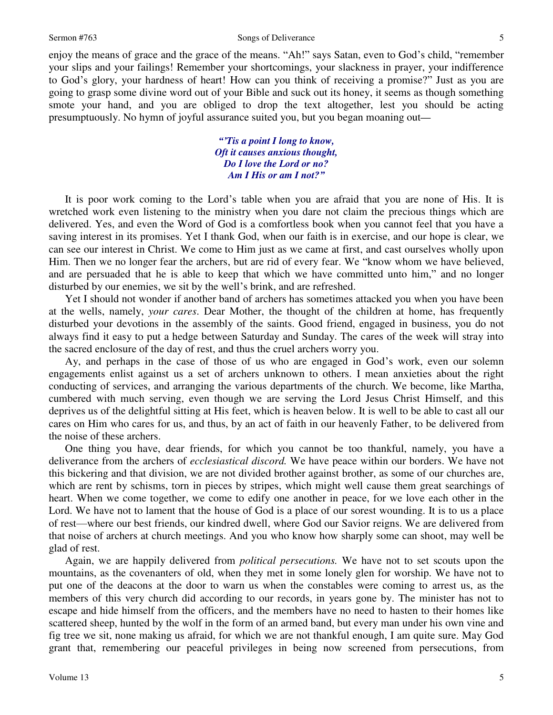enjoy the means of grace and the grace of the means. "Ah!" says Satan, even to God's child, "remember your slips and your failings! Remember your shortcomings, your slackness in prayer, your indifference to God's glory, your hardness of heart! How can you think of receiving a promise?" Just as you are going to grasp some divine word out of your Bible and suck out its honey, it seems as though something smote your hand, and you are obliged to drop the text altogether, lest you should be acting presumptuously. No hymn of joyful assurance suited you, but you began moaning out*—*

> *"'Tis a point I long to know, Oft it causes anxious thought, Do I love the Lord or no? Am I His or am I not?"*

 It is poor work coming to the Lord's table when you are afraid that you are none of His. It is wretched work even listening to the ministry when you dare not claim the precious things which are delivered. Yes, and even the Word of God is a comfortless book when you cannot feel that you have a saving interest in its promises. Yet I thank God, when our faith is in exercise, and our hope is clear, we can see our interest in Christ. We come to Him just as we came at first, and cast ourselves wholly upon Him. Then we no longer fear the archers, but are rid of every fear. We "know whom we have believed, and are persuaded that he is able to keep that which we have committed unto him," and no longer disturbed by our enemies, we sit by the well's brink, and are refreshed.

 Yet I should not wonder if another band of archers has sometimes attacked you when you have been at the wells, namely, *your cares*. Dear Mother, the thought of the children at home, has frequently disturbed your devotions in the assembly of the saints. Good friend, engaged in business, you do not always find it easy to put a hedge between Saturday and Sunday. The cares of the week will stray into the sacred enclosure of the day of rest, and thus the cruel archers worry you.

Ay, and perhaps in the case of those of us who are engaged in God's work, even our solemn engagements enlist against us a set of archers unknown to others. I mean anxieties about the right conducting of services, and arranging the various departments of the church. We become, like Martha, cumbered with much serving, even though we are serving the Lord Jesus Christ Himself, and this deprives us of the delightful sitting at His feet, which is heaven below. It is well to be able to cast all our cares on Him who cares for us, and thus, by an act of faith in our heavenly Father, to be delivered from the noise of these archers.

 One thing you have, dear friends, for which you cannot be too thankful, namely, you have a deliverance from the archers of *ecclesiastical discord.* We have peace within our borders. We have not this bickering and that division, we are not divided brother against brother, as some of our churches are, which are rent by schisms, torn in pieces by stripes, which might well cause them great searchings of heart. When we come together, we come to edify one another in peace, for we love each other in the Lord. We have not to lament that the house of God is a place of our sorest wounding. It is to us a place of rest—where our best friends, our kindred dwell, where God our Savior reigns. We are delivered from that noise of archers at church meetings. And you who know how sharply some can shoot, may well be glad of rest.

 Again, we are happily delivered from *political persecutions.* We have not to set scouts upon the mountains, as the covenanters of old, when they met in some lonely glen for worship. We have not to put one of the deacons at the door to warn us when the constables were coming to arrest us, as the members of this very church did according to our records, in years gone by. The minister has not to escape and hide himself from the officers, and the members have no need to hasten to their homes like scattered sheep, hunted by the wolf in the form of an armed band, but every man under his own vine and fig tree we sit, none making us afraid, for which we are not thankful enough, I am quite sure. May God grant that, remembering our peaceful privileges in being now screened from persecutions, from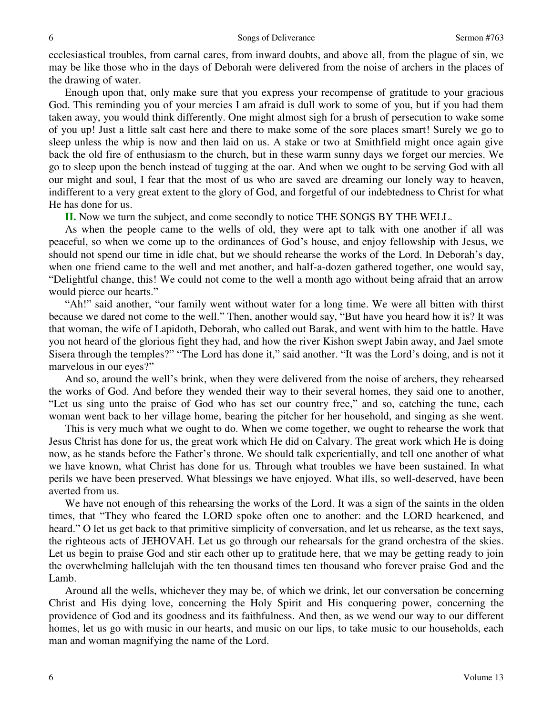ecclesiastical troubles, from carnal cares, from inward doubts, and above all, from the plague of sin, we may be like those who in the days of Deborah were delivered from the noise of archers in the places of the drawing of water.

 Enough upon that, only make sure that you express your recompense of gratitude to your gracious God. This reminding you of your mercies I am afraid is dull work to some of you, but if you had them taken away, you would think differently. One might almost sigh for a brush of persecution to wake some of you up! Just a little salt cast here and there to make some of the sore places smart! Surely we go to sleep unless the whip is now and then laid on us. A stake or two at Smithfield might once again give back the old fire of enthusiasm to the church, but in these warm sunny days we forget our mercies. We go to sleep upon the bench instead of tugging at the oar. And when we ought to be serving God with all our might and soul, I fear that the most of us who are saved are dreaming our lonely way to heaven, indifferent to a very great extent to the glory of God, and forgetful of our indebtedness to Christ for what He has done for us.

**II.** Now we turn the subject, and come secondly to notice THE SONGS BY THE WELL.

 As when the people came to the wells of old, they were apt to talk with one another if all was peaceful, so when we come up to the ordinances of God's house, and enjoy fellowship with Jesus, we should not spend our time in idle chat, but we should rehearse the works of the Lord. In Deborah's day, when one friend came to the well and met another, and half-a-dozen gathered together, one would say, "Delightful change, this! We could not come to the well a month ago without being afraid that an arrow would pierce our hearts."

"Ah!" said another, "our family went without water for a long time. We were all bitten with thirst because we dared not come to the well." Then, another would say, "But have you heard how it is? It was that woman, the wife of Lapidoth, Deborah, who called out Barak, and went with him to the battle. Have you not heard of the glorious fight they had, and how the river Kishon swept Jabin away, and Jael smote Sisera through the temples?" "The Lord has done it," said another. "It was the Lord's doing, and is not it marvelous in our eyes?"

 And so, around the well's brink, when they were delivered from the noise of archers, they rehearsed the works of God. And before they wended their way to their several homes, they said one to another, "Let us sing unto the praise of God who has set our country free," and so, catching the tune, each woman went back to her village home, bearing the pitcher for her household, and singing as she went.

 This is very much what we ought to do. When we come together, we ought to rehearse the work that Jesus Christ has done for us, the great work which He did on Calvary. The great work which He is doing now, as he stands before the Father's throne. We should talk experientially, and tell one another of what we have known, what Christ has done for us. Through what troubles we have been sustained. In what perils we have been preserved. What blessings we have enjoyed. What ills, so well-deserved, have been averted from us.

 We have not enough of this rehearsing the works of the Lord. It was a sign of the saints in the olden times, that "They who feared the LORD spoke often one to another: and the LORD hearkened, and heard." O let us get back to that primitive simplicity of conversation, and let us rehearse, as the text says, the righteous acts of JEHOVAH. Let us go through our rehearsals for the grand orchestra of the skies. Let us begin to praise God and stir each other up to gratitude here, that we may be getting ready to join the overwhelming hallelujah with the ten thousand times ten thousand who forever praise God and the Lamb.

 Around all the wells, whichever they may be, of which we drink, let our conversation be concerning Christ and His dying love, concerning the Holy Spirit and His conquering power, concerning the providence of God and its goodness and its faithfulness. And then, as we wend our way to our different homes, let us go with music in our hearts, and music on our lips, to take music to our households, each man and woman magnifying the name of the Lord.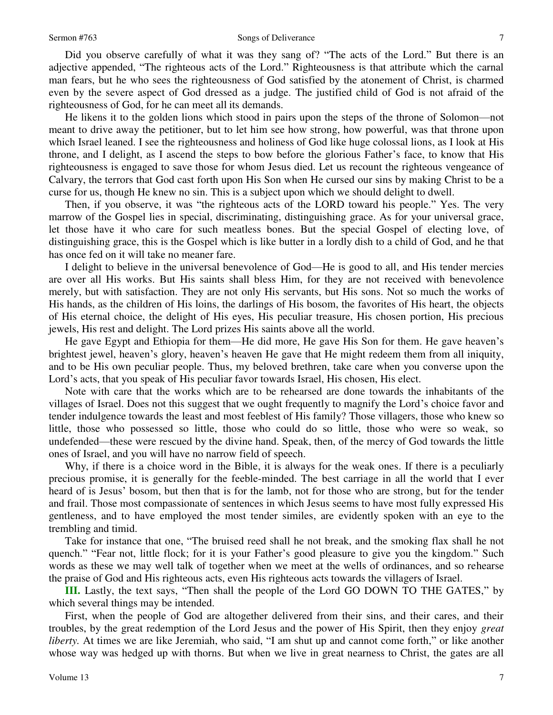#### Sermon #763 Songs of Deliverance

 Did you observe carefully of what it was they sang of? "The acts of the Lord." But there is an adjective appended, "The righteous acts of the Lord." Righteousness is that attribute which the carnal man fears, but he who sees the righteousness of God satisfied by the atonement of Christ, is charmed even by the severe aspect of God dressed as a judge. The justified child of God is not afraid of the righteousness of God, for he can meet all its demands.

 He likens it to the golden lions which stood in pairs upon the steps of the throne of Solomon—not meant to drive away the petitioner, but to let him see how strong, how powerful, was that throne upon which Israel leaned. I see the righteousness and holiness of God like huge colossal lions, as I look at His throne, and I delight, as I ascend the steps to bow before the glorious Father's face, to know that His righteousness is engaged to save those for whom Jesus died. Let us recount the righteous vengeance of Calvary, the terrors that God cast forth upon His Son when He cursed our sins by making Christ to be a curse for us, though He knew no sin. This is a subject upon which we should delight to dwell.

 Then, if you observe, it was "the righteous acts of the LORD toward his people." Yes. The very marrow of the Gospel lies in special, discriminating, distinguishing grace. As for your universal grace, let those have it who care for such meatless bones. But the special Gospel of electing love, of distinguishing grace, this is the Gospel which is like butter in a lordly dish to a child of God, and he that has once fed on it will take no meaner fare.

 I delight to believe in the universal benevolence of God—He is good to all, and His tender mercies are over all His works. But His saints shall bless Him, for they are not received with benevolence merely, but with satisfaction. They are not only His servants, but His sons. Not so much the works of His hands, as the children of His loins, the darlings of His bosom, the favorites of His heart, the objects of His eternal choice, the delight of His eyes, His peculiar treasure, His chosen portion, His precious jewels, His rest and delight. The Lord prizes His saints above all the world.

 He gave Egypt and Ethiopia for them—He did more, He gave His Son for them. He gave heaven's brightest jewel, heaven's glory, heaven's heaven He gave that He might redeem them from all iniquity, and to be His own peculiar people. Thus, my beloved brethren, take care when you converse upon the Lord's acts, that you speak of His peculiar favor towards Israel, His chosen, His elect.

 Note with care that the works which are to be rehearsed are done towards the inhabitants of the villages of Israel. Does not this suggest that we ought frequently to magnify the Lord's choice favor and tender indulgence towards the least and most feeblest of His family? Those villagers, those who knew so little, those who possessed so little, those who could do so little, those who were so weak, so undefended—these were rescued by the divine hand. Speak, then, of the mercy of God towards the little ones of Israel, and you will have no narrow field of speech.

 Why, if there is a choice word in the Bible, it is always for the weak ones. If there is a peculiarly precious promise, it is generally for the feeble-minded. The best carriage in all the world that I ever heard of is Jesus' bosom, but then that is for the lamb, not for those who are strong, but for the tender and frail. Those most compassionate of sentences in which Jesus seems to have most fully expressed His gentleness, and to have employed the most tender similes, are evidently spoken with an eye to the trembling and timid.

 Take for instance that one, "The bruised reed shall he not break, and the smoking flax shall he not quench." "Fear not, little flock; for it is your Father's good pleasure to give you the kingdom." Such words as these we may well talk of together when we meet at the wells of ordinances, and so rehearse the praise of God and His righteous acts, even His righteous acts towards the villagers of Israel.

**III.** Lastly, the text says, "Then shall the people of the Lord GO DOWN TO THE GATES," by which several things may be intended.

 First, when the people of God are altogether delivered from their sins, and their cares, and their troubles, by the great redemption of the Lord Jesus and the power of His Spirit, then they enjoy *great liberty*. At times we are like Jeremiah, who said, "I am shut up and cannot come forth," or like another whose way was hedged up with thorns. But when we live in great nearness to Christ, the gates are all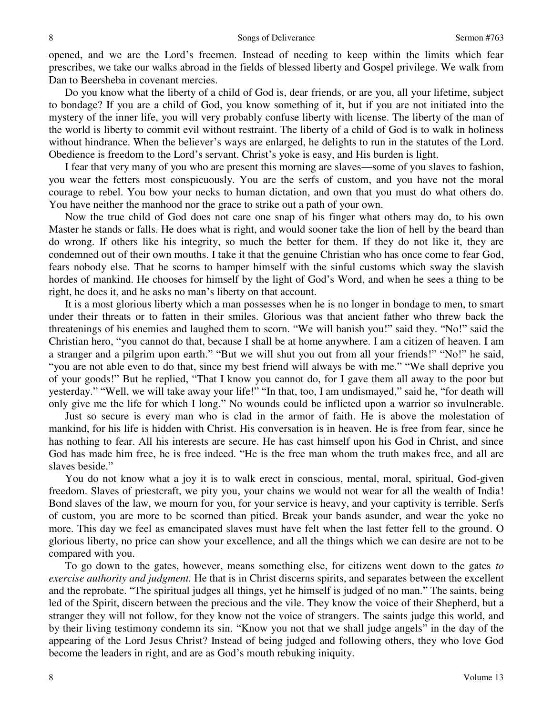opened, and we are the Lord's freemen. Instead of needing to keep within the limits which fear prescribes, we take our walks abroad in the fields of blessed liberty and Gospel privilege. We walk from Dan to Beersheba in covenant mercies.

 Do you know what the liberty of a child of God is, dear friends, or are you, all your lifetime, subject to bondage? If you are a child of God, you know something of it, but if you are not initiated into the mystery of the inner life, you will very probably confuse liberty with license. The liberty of the man of the world is liberty to commit evil without restraint. The liberty of a child of God is to walk in holiness without hindrance. When the believer's ways are enlarged, he delights to run in the statutes of the Lord. Obedience is freedom to the Lord's servant. Christ's yoke is easy, and His burden is light.

 I fear that very many of you who are present this morning are slaves—some of you slaves to fashion, you wear the fetters most conspicuously. You are the serfs of custom, and you have not the moral courage to rebel. You bow your necks to human dictation, and own that you must do what others do. You have neither the manhood nor the grace to strike out a path of your own.

 Now the true child of God does not care one snap of his finger what others may do, to his own Master he stands or falls. He does what is right, and would sooner take the lion of hell by the beard than do wrong. If others like his integrity, so much the better for them. If they do not like it, they are condemned out of their own mouths. I take it that the genuine Christian who has once come to fear God, fears nobody else. That he scorns to hamper himself with the sinful customs which sway the slavish hordes of mankind. He chooses for himself by the light of God's Word, and when he sees a thing to be right, he does it, and he asks no man's liberty on that account.

 It is a most glorious liberty which a man possesses when he is no longer in bondage to men, to smart under their threats or to fatten in their smiles. Glorious was that ancient father who threw back the threatenings of his enemies and laughed them to scorn. "We will banish you!" said they. "No!" said the Christian hero, "you cannot do that, because I shall be at home anywhere. I am a citizen of heaven. I am a stranger and a pilgrim upon earth." "But we will shut you out from all your friends!" "No!" he said, "you are not able even to do that, since my best friend will always be with me." "We shall deprive you of your goods!" But he replied, "That I know you cannot do, for I gave them all away to the poor but yesterday." "Well, we will take away your life!" "In that, too, I am undismayed," said he, "for death will only give me the life for which I long." No wounds could be inflicted upon a warrior so invulnerable.

 Just so secure is every man who is clad in the armor of faith. He is above the molestation of mankind, for his life is hidden with Christ. His conversation is in heaven. He is free from fear, since he has nothing to fear. All his interests are secure. He has cast himself upon his God in Christ, and since God has made him free, he is free indeed. "He is the free man whom the truth makes free, and all are slaves beside."

 You do not know what a joy it is to walk erect in conscious, mental, moral, spiritual, God-given freedom. Slaves of priestcraft, we pity you, your chains we would not wear for all the wealth of India! Bond slaves of the law, we mourn for you, for your service is heavy, and your captivity is terrible. Serfs of custom, you are more to be scorned than pitied. Break your bands asunder, and wear the yoke no more. This day we feel as emancipated slaves must have felt when the last fetter fell to the ground. O glorious liberty, no price can show your excellence, and all the things which we can desire are not to be compared with you.

 To go down to the gates, however, means something else, for citizens went down to the gates *to exercise authority and judgment.* He that is in Christ discerns spirits, and separates between the excellent and the reprobate. "The spiritual judges all things, yet he himself is judged of no man." The saints, being led of the Spirit, discern between the precious and the vile. They know the voice of their Shepherd, but a stranger they will not follow, for they know not the voice of strangers. The saints judge this world, and by their living testimony condemn its sin. "Know you not that we shall judge angels" in the day of the appearing of the Lord Jesus Christ? Instead of being judged and following others, they who love God become the leaders in right, and are as God's mouth rebuking iniquity.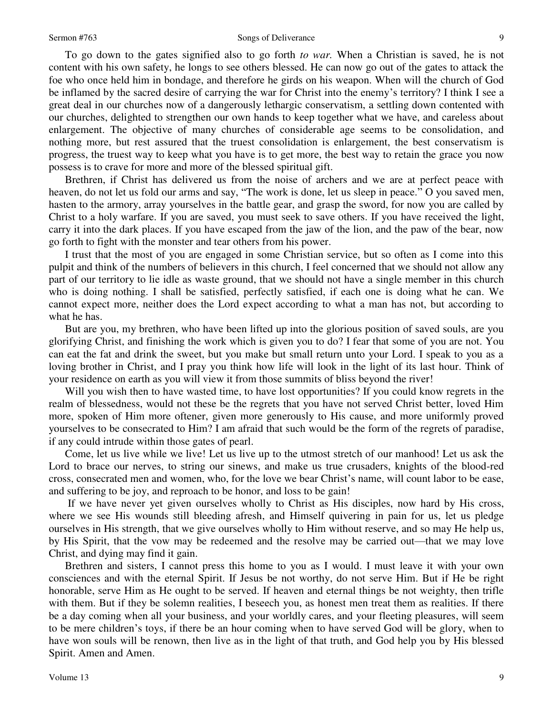#### Sermon #763 Songs of Deliverance

 To go down to the gates signified also to go forth *to war.* When a Christian is saved, he is not content with his own safety, he longs to see others blessed. He can now go out of the gates to attack the foe who once held him in bondage, and therefore he girds on his weapon. When will the church of God be inflamed by the sacred desire of carrying the war for Christ into the enemy's territory? I think I see a great deal in our churches now of a dangerously lethargic conservatism, a settling down contented with our churches, delighted to strengthen our own hands to keep together what we have, and careless about enlargement. The objective of many churches of considerable age seems to be consolidation, and nothing more, but rest assured that the truest consolidation is enlargement, the best conservatism is progress, the truest way to keep what you have is to get more, the best way to retain the grace you now possess is to crave for more and more of the blessed spiritual gift.

 Brethren, if Christ has delivered us from the noise of archers and we are at perfect peace with heaven, do not let us fold our arms and say, "The work is done, let us sleep in peace." O you saved men, hasten to the armory, array yourselves in the battle gear, and grasp the sword, for now you are called by Christ to a holy warfare. If you are saved, you must seek to save others. If you have received the light, carry it into the dark places. If you have escaped from the jaw of the lion, and the paw of the bear, now go forth to fight with the monster and tear others from his power.

 I trust that the most of you are engaged in some Christian service, but so often as I come into this pulpit and think of the numbers of believers in this church, I feel concerned that we should not allow any part of our territory to lie idle as waste ground, that we should not have a single member in this church who is doing nothing. I shall be satisfied, perfectly satisfied, if each one is doing what he can. We cannot expect more, neither does the Lord expect according to what a man has not, but according to what he has.

 But are you, my brethren, who have been lifted up into the glorious position of saved souls, are you glorifying Christ, and finishing the work which is given you to do? I fear that some of you are not. You can eat the fat and drink the sweet, but you make but small return unto your Lord. I speak to you as a loving brother in Christ, and I pray you think how life will look in the light of its last hour. Think of your residence on earth as you will view it from those summits of bliss beyond the river!

Will you wish then to have wasted time, to have lost opportunities? If you could know regrets in the realm of blessedness, would not these be the regrets that you have not served Christ better, loved Him more, spoken of Him more oftener, given more generously to His cause, and more uniformly proved yourselves to be consecrated to Him? I am afraid that such would be the form of the regrets of paradise, if any could intrude within those gates of pearl.

 Come, let us live while we live! Let us live up to the utmost stretch of our manhood! Let us ask the Lord to brace our nerves, to string our sinews, and make us true crusaders, knights of the blood-red cross, consecrated men and women, who, for the love we bear Christ's name, will count labor to be ease, and suffering to be joy, and reproach to be honor, and loss to be gain!

 If we have never yet given ourselves wholly to Christ as His disciples, now hard by His cross, where we see His wounds still bleeding afresh, and Himself quivering in pain for us, let us pledge ourselves in His strength, that we give ourselves wholly to Him without reserve, and so may He help us, by His Spirit, that the vow may be redeemed and the resolve may be carried out—that we may love Christ, and dying may find it gain.

 Brethren and sisters, I cannot press this home to you as I would. I must leave it with your own consciences and with the eternal Spirit. If Jesus be not worthy, do not serve Him. But if He be right honorable, serve Him as He ought to be served. If heaven and eternal things be not weighty, then trifle with them. But if they be solemn realities, I beseech you, as honest men treat them as realities. If there be a day coming when all your business, and your worldly cares, and your fleeting pleasures, will seem to be mere children's toys, if there be an hour coming when to have served God will be glory, when to have won souls will be renown, then live as in the light of that truth, and God help you by His blessed Spirit. Amen and Amen.